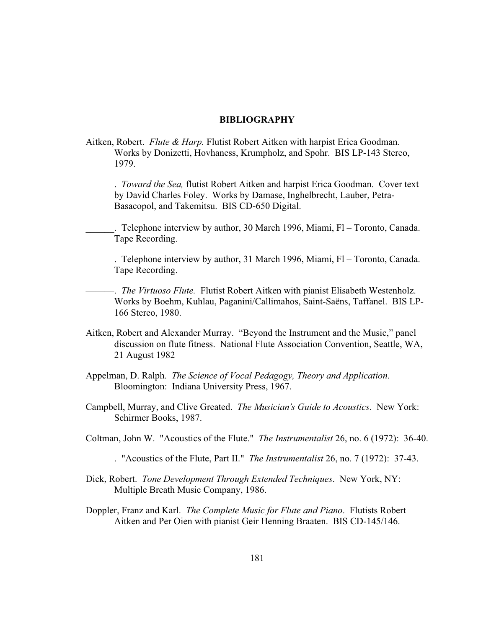## **BIBLIOGRAPHY**

- Aitken, Robert. *Flute & Harp.* Flutist Robert Aitken with harpist Erica Goodman. Works by Donizetti, Hovhaness, Krumpholz, and Spohr. BIS LP-143 Stereo, 1979.
	- \_\_\_\_\_\_. *Toward the Sea,* flutist Robert Aitken and harpist Erica Goodman. Cover text by David Charles Foley. Works by Damase, Inghelbrecht, Lauber, Petra-Basacopol, and Takemitsu. BIS CD-650 Digital.
- . Telephone interview by author, 30 March 1996, Miami, Fl Toronto, Canada. Tape Recording.
- . Telephone interview by author, 31 March 1996, Miami,  $Fl$  Toronto, Canada. Tape Recording.

———. *The Virtuoso Flute.* Flutist Robert Aitken with pianist Elisabeth Westenholz. Works by Boehm, Kuhlau, Paganini/Callimahos, Saint-Saëns, Taffanel. BIS LP-166 Stereo, 1980.

- Aitken, Robert and Alexander Murray. "Beyond the Instrument and the Music," panel discussion on flute fitness. National Flute Association Convention, Seattle, WA, 21 August 1982
- Appelman, D. Ralph. *The Science of Vocal Pedagogy, Theory and Application*. Bloomington: Indiana University Press, 1967.
- Campbell, Murray, and Clive Greated. *The Musician's Guide to Acoustics*. New York: Schirmer Books, 1987.
- Coltman, John W. "Acoustics of the Flute." *The Instrumentalist* 26, no. 6 (1972): 36-40.
- ———. "Acoustics of the Flute, Part II." *The Instrumentalist* 26, no. 7 (1972): 37-43.
- Dick, Robert. *Tone Development Through Extended Techniques*. New York, NY: Multiple Breath Music Company, 1986.
- Doppler, Franz and Karl. *The Complete Music for Flute and Piano*. Flutists Robert Aitken and Per Oien with pianist Geir Henning Braaten. BIS CD-145/146.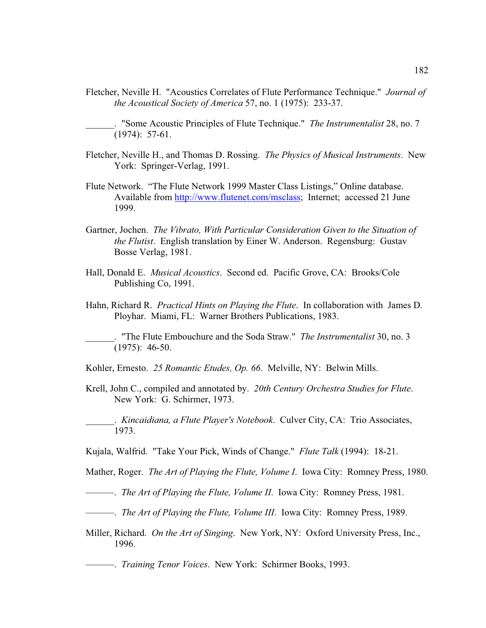Fletcher, Neville H. "Acoustics Correlates of Flute Performance Technique." *Journal of the Acoustical Society of America* 57, no. 1 (1975): 233-37.

\_\_\_\_\_\_. "Some Acoustic Principles of Flute Technique." *The Instrumentalist* 28, no. 7 (1974): 57-61.

- Fletcher, Neville H., and Thomas D. Rossing. *The Physics of Musical Instruments*. New York: Springer-Verlag, 1991.
- Flute Network. "The Flute Network 1999 Master Class Listings," Online database. Available from http://www.flutenet.com/msclass; Internet; accessed 21 June 1999.
- Gartner, Jochen. *The Vibrato, With Particular Consideration Given to the Situation of the Flutist*. English translation by Einer W. Anderson. Regensburg: Gustav Bosse Verlag, 1981.
- Hall, Donald E. *Musical Acoustics*. Second ed. Pacific Grove, CA: Brooks/Cole Publishing Co, 1991.
- Hahn, Richard R. *Practical Hints on Playing the Flute*. In collaboration with James D. Ployhar. Miami, FL: Warner Brothers Publications, 1983.

\_\_\_\_\_\_. "The Flute Embouchure and the Soda Straw." *The Instrumentalist* 30, no. 3 (1975): 46-50.

Kohler, Ernesto. *25 Romantic Etudes, Op. 66*. Melville, NY: Belwin Mills.

Krell, John C., compiled and annotated by. *20th Century Orchestra Studies for Flute*. New York: G. Schirmer, 1973.

\_\_\_\_\_\_. *Kincaidiana, a Flute Player's Notebook*. Culver City, CA: Trio Associates, 1973.

Kujala, Walfrid. "Take Your Pick, Winds of Change." *Flute Talk* (1994): 18-21.

Mather, Roger. *The Art of Playing the Flute, Volume I*. Iowa City: Romney Press, 1980.

- ———. *The Art of Playing the Flute, Volume II*. Iowa City: Romney Press, 1981.
- ———. *The Art of Playing the Flute, Volume III*. Iowa City: Romney Press, 1989.
- Miller, Richard. *On the Art of Singing*. New York, NY: Oxford University Press, Inc., 1996.

———. *Training Tenor Voices*. New York: Schirmer Books, 1993.